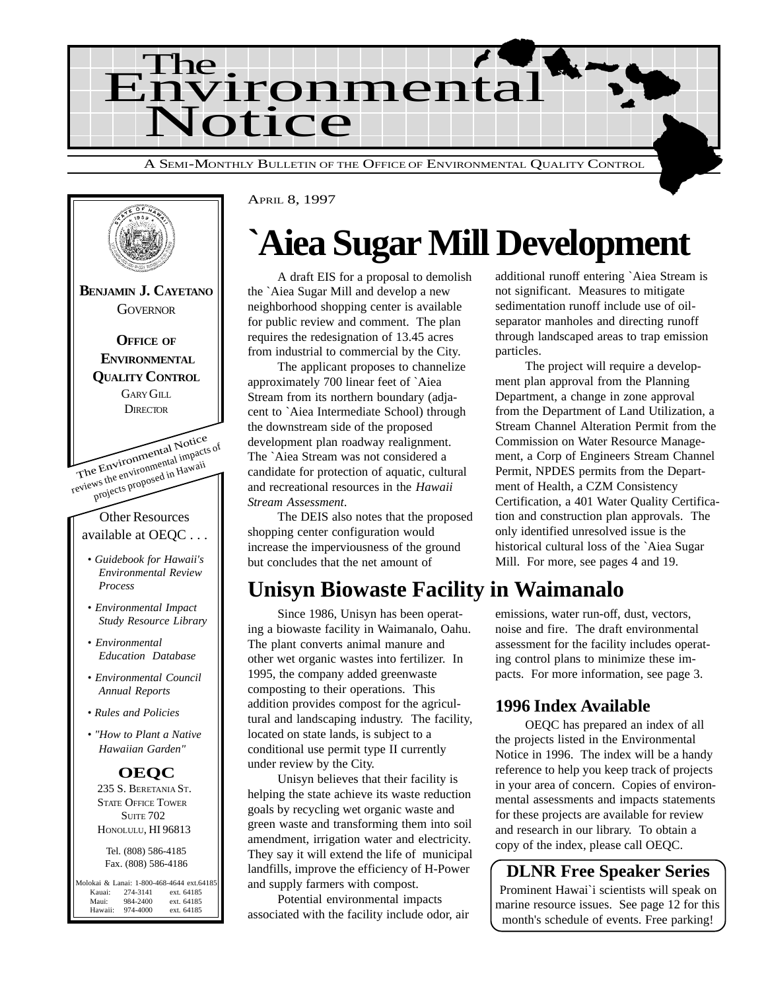



APRIL 8, 1997

# **`Aiea Sugar Mill Development**

A draft EIS for a proposal to demolish the `Aiea Sugar Mill and develop a new neighborhood shopping center is available for public review and comment. The plan requires the redesignation of 13.45 acres from industrial to commercial by the City.

The applicant proposes to channelize approximately 700 linear feet of `Aiea Stream from its northern boundary (adjacent to `Aiea Intermediate School) through the downstream side of the proposed development plan roadway realignment. The `Aiea Stream was not considered a candidate for protection of aquatic, cultural and recreational resources in the *Hawaii Stream Assessment*.

The DEIS also notes that the proposed shopping center configuration would increase the imperviousness of the ground but concludes that the net amount of

## **Unisyn Biowaste Facility in Waimanalo**

Since 1986, Unisyn has been operating a biowaste facility in Waimanalo, Oahu. The plant converts animal manure and other wet organic wastes into fertilizer. In 1995, the company added greenwaste composting to their operations. This addition provides compost for the agricultural and landscaping industry. The facility, located on state lands, is subject to a conditional use permit type II currently under review by the City.

Unisyn believes that their facility is helping the state achieve its waste reduction goals by recycling wet organic waste and green waste and transforming them into soil amendment, irrigation water and electricity. They say it will extend the life of municipal landfills, improve the efficiency of H-Power and supply farmers with compost.

Potential environmental impacts associated with the facility include odor, air additional runoff entering `Aiea Stream is not significant. Measures to mitigate sedimentation runoff include use of oilseparator manholes and directing runoff through landscaped areas to trap emission particles.

The project will require a development plan approval from the Planning Department, a change in zone approval from the Department of Land Utilization, a Stream Channel Alteration Permit from the Commission on Water Resource Management, a Corp of Engineers Stream Channel Permit, NPDES permits from the Department of Health, a CZM Consistency Certification, a 401 Water Quality Certification and construction plan approvals. The only identified unresolved issue is the historical cultural loss of the `Aiea Sugar Mill. For more, see pages 4 and 19.

emissions, water run-off, dust, vectors, noise and fire. The draft environmental assessment for the facility includes operating control plans to minimize these impacts. For more information, see page 3.

#### **1996 Index Available**

OEQC has prepared an index of all the projects listed in the Environmental Notice in 1996. The index will be a handy reference to help you keep track of projects in your area of concern. Copies of environmental assessments and impacts statements for these projects are available for review and research in our library. To obtain a copy of the index, please call OEQC.

**DLNR Free Speaker Series** Prominent Hawai`i scientists will speak on marine resource issues. See page 12 for this month's schedule of events. Free parking!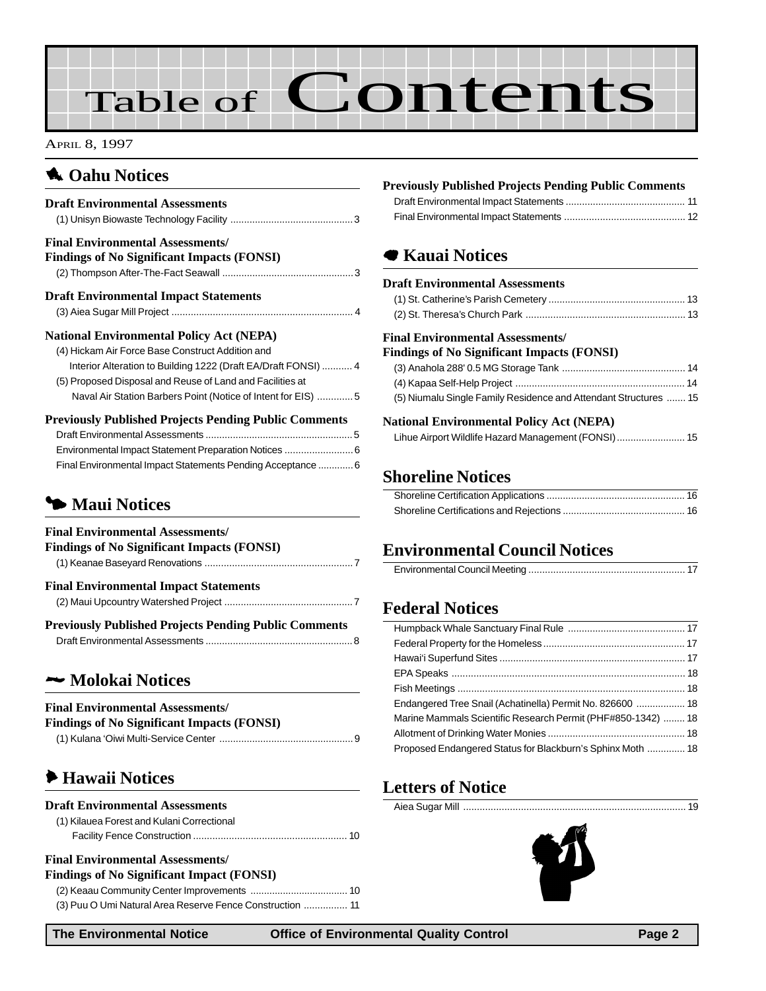# Table of Contents

APRIL 8, 1997

### **1** Oahu Notices

| <b>Draft Environmental Assessments</b>                                                                                                                                                                                                                                                              |
|-----------------------------------------------------------------------------------------------------------------------------------------------------------------------------------------------------------------------------------------------------------------------------------------------------|
| <b>Final Environmental Assessments/</b><br><b>Findings of No Significant Impacts (FONSI)</b>                                                                                                                                                                                                        |
| <b>Draft Environmental Impact Statements</b>                                                                                                                                                                                                                                                        |
| <b>National Environmental Policy Act (NEPA)</b><br>(4) Hickam Air Force Base Construct Addition and<br>Interior Alteration to Building 1222 (Draft EA/Draft FONSI)  4<br>(5) Proposed Disposal and Reuse of Land and Facilities at<br>Naval Air Station Barbers Point (Notice of Intent for EIS)  5 |
| <b>Previously Published Projects Pending Public Comments</b><br>Environmental Impact Statement Preparation Notices  6<br>Final Environmental Impact Statements Pending Acceptance  6<br>Maui Notices                                                                                                |
| <b>Final Environmental Assessments/</b><br><b>Findings of No Significant Impacts (FONSI)</b>                                                                                                                                                                                                        |
| <b>Final Environmental Impact Statements</b>                                                                                                                                                                                                                                                        |
| <b>Previously Published Projects Pending Public Comments</b>                                                                                                                                                                                                                                        |
| — Molokai Notices                                                                                                                                                                                                                                                                                   |
| <b>Final Environmental Assessments/</b><br><b>Findings of No Significant Impacts (FONSI)</b>                                                                                                                                                                                                        |

### 6 **Hawaii Notices**

| (1) Kilauea Forest and Kulani Correctional                                           |  |
|--------------------------------------------------------------------------------------|--|
|                                                                                      |  |
| <b>Final Environmental Assessments/</b><br>Findings of No Significant Impact (FONSI) |  |

| <b>Findings of No Significant Impact (FONSI)</b>          |  |
|-----------------------------------------------------------|--|
|                                                           |  |
| (3) Puu O Umi Natural Area Reserve Fence Construction  11 |  |

**Previously Published Projects Pending Public Comments**

## 7 **Kauai Notices**

#### **Draft Environmental Assessments**

#### **Final Environmental Assessments/**

#### **Findings of No Significant Impacts (FONSI)** [\(3\) Anahola 288' 0.5 MG Storage Tank ............................................. 14](#page-13-0)

| (5) Niumalu Single Family Residence and Attendant Structures  15 |  |
|------------------------------------------------------------------|--|

#### **National Environmental Policy Act (NEPA)**

## **Shoreline Notices**

## **Environmental Council Notices**

## **Federal Notices**

| Endangered Tree Snail (Achatinella) Permit No. 826600  18    |  |
|--------------------------------------------------------------|--|
| Marine Mammals Scientific Research Permit (PHF#850-1342)  18 |  |
|                                                              |  |
| Proposed Endangered Status for Blackburn's Sphinx Moth  18   |  |
|                                                              |  |

## **Letters of Notice**

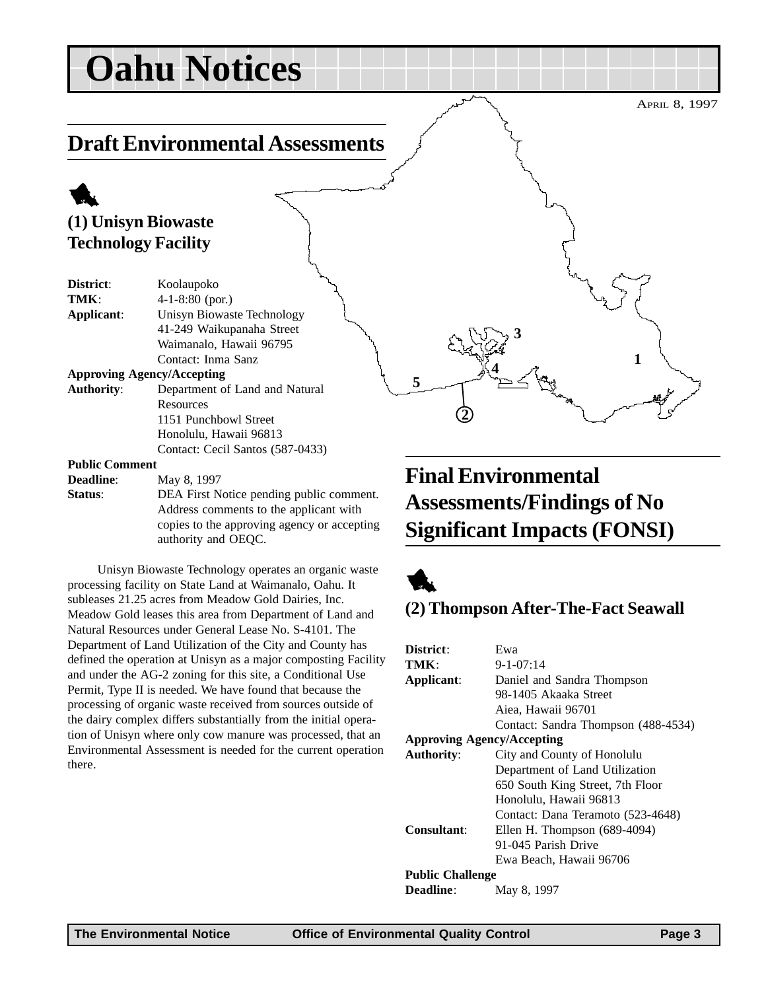## <span id="page-2-0"></span>**Draft Environmental Assessments**

## 1 **(1) Unisyn Biowaste Technology Facility**

| District:                         | Koolaupoko                       |  |
|-----------------------------------|----------------------------------|--|
| TMK:                              | $4-1-8:80$ (por.)                |  |
| Applicant:                        | Unisyn Biowaste Technology       |  |
|                                   | 41-249 Waikupanaha Street        |  |
|                                   | Waimanalo, Hawaii 96795          |  |
|                                   | Contact: Inma Sanz               |  |
| <b>Approving Agency/Accepting</b> |                                  |  |
| <b>Authority:</b>                 | Department of Land and Natural   |  |
|                                   | Resources                        |  |
|                                   | 1151 Punchbowl Street            |  |
|                                   | Honolulu, Hawaii 96813           |  |
|                                   | Contact: Cecil Santos (587-0433) |  |
| <b>Public Comment</b>             |                                  |  |

**Deadline:** May 8, 1997 **Status**: DEA First Notice pending public comment.

Address comments to the applicant with copies to the approving agency or accepting authority and OEQC.

Unisyn Biowaste Technology operates an organic waste processing facility on State Land at Waimanalo, Oahu. It subleases 21.25 acres from Meadow Gold Dairies, Inc. Meadow Gold leases this area from Department of Land and Natural Resources under General Lease No. S-4101. The Department of Land Utilization of the City and County has defined the operation at Unisyn as a major composting Facility and under the AG-2 zoning for this site, a Conditional Use Permit, Type II is needed. We have found that because the processing of organic waste received from sources outside of the dairy complex differs substantially from the initial operation of Unisyn where only cow manure was processed, that an Environmental Assessment is needed for the current operation there.

## **Final Environmental Assessments/Findings of No Significant Impacts (FONSI)**

**3**

**4**



**5**

**2**

### **(2) Thompson After-The-Fact Seawall**

| District:                         | Ewa                                 |  |  |
|-----------------------------------|-------------------------------------|--|--|
| TMK:                              | $9 - 1 - 07:14$                     |  |  |
| Applicant:                        | Daniel and Sandra Thompson          |  |  |
|                                   | 98-1405 Akaaka Street               |  |  |
|                                   | Aiea, Hawaii 96701                  |  |  |
|                                   | Contact: Sandra Thompson (488-4534) |  |  |
| <b>Approving Agency/Accepting</b> |                                     |  |  |
| <b>Authority:</b>                 | City and County of Honolulu         |  |  |
|                                   | Department of Land Utilization      |  |  |
|                                   | 650 South King Street, 7th Floor    |  |  |
|                                   | Honolulu, Hawaii 96813              |  |  |
|                                   | Contact: Dana Teramoto (523-4648)   |  |  |
| Consultant:                       | Ellen H. Thompson $(689-4094)$      |  |  |
|                                   | 91-045 Parish Drive                 |  |  |
|                                   | Ewa Beach, Hawaii 96706             |  |  |
| <b>Public Challenge</b>           |                                     |  |  |
| <b>Deadline:</b>                  | May 8, 1997                         |  |  |

APRIL 8, 1997

**1**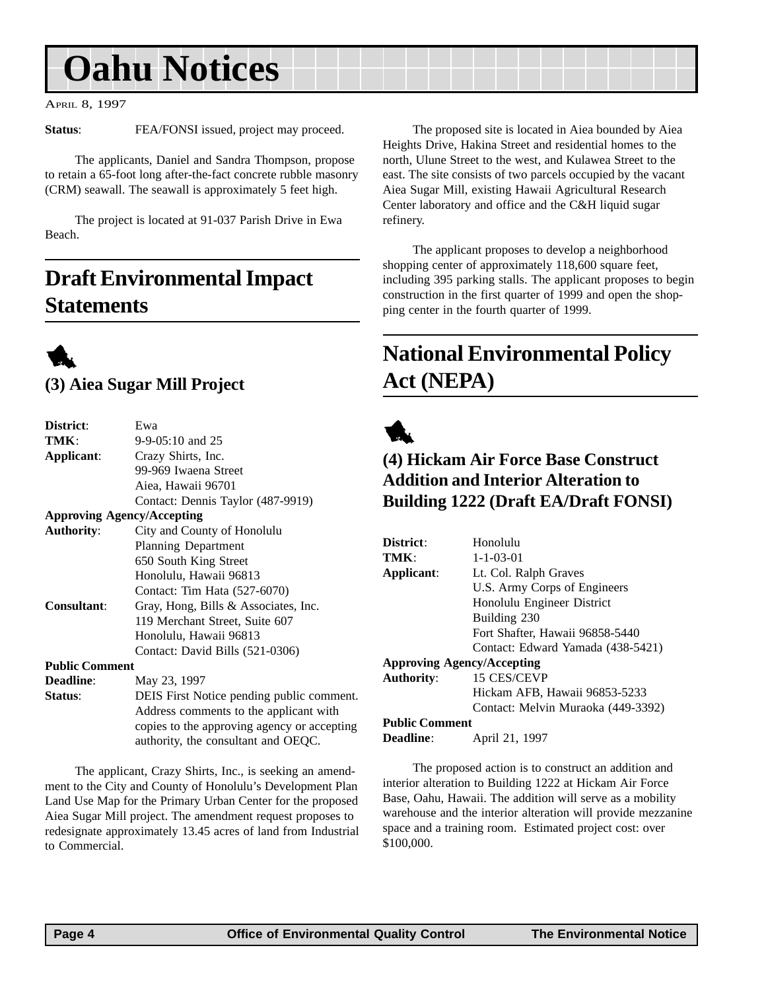<span id="page-3-0"></span>APRIL 8, 1997

**Status:** FEA/FONSI issued, project may proceed.

The applicants, Daniel and Sandra Thompson, propose to retain a 65-foot long after-the-fact concrete rubble masonry (CRM) seawall. The seawall is approximately 5 feet high.

The project is located at 91-037 Parish Drive in Ewa Beach.

## **Draft Environmental Impact Statements**



### **(3) Aiea Sugar Mill Project**

| District:             | Ewa                                         |  |
|-----------------------|---------------------------------------------|--|
| TMK:                  | $9-9-05:10$ and 25                          |  |
| Applicant:            | Crazy Shirts, Inc.                          |  |
|                       | 99-969 Iwaena Street                        |  |
|                       | Aiea, Hawaii 96701                          |  |
|                       | Contact: Dennis Taylor (487-9919)           |  |
|                       | <b>Approving Agency/Accepting</b>           |  |
| <b>Authority:</b>     | City and County of Honolulu                 |  |
|                       | <b>Planning Department</b>                  |  |
|                       | 650 South King Street                       |  |
|                       | Honolulu, Hawaii 96813                      |  |
|                       | Contact: Tim Hata (527-6070)                |  |
| <b>Consultant:</b>    | Gray, Hong, Bills & Associates, Inc.        |  |
|                       | 119 Merchant Street, Suite 607              |  |
|                       | Honolulu, Hawaii 96813                      |  |
|                       | Contact: David Bills (521-0306)             |  |
| <b>Public Comment</b> |                                             |  |
| <b>Deadline:</b>      | May 23, 1997                                |  |
| Status:               | DEIS First Notice pending public comment.   |  |
|                       | Address comments to the applicant with      |  |
|                       | copies to the approving agency or accepting |  |

The applicant, Crazy Shirts, Inc., is seeking an amendment to the City and County of Honolulu's Development Plan Land Use Map for the Primary Urban Center for the proposed Aiea Sugar Mill project. The amendment request proposes to redesignate approximately 13.45 acres of land from Industrial to Commercial.

authority, the consultant and OEQC.

The proposed site is located in Aiea bounded by Aiea Heights Drive, Hakina Street and residential homes to the north, Ulune Street to the west, and Kulawea Street to the east. The site consists of two parcels occupied by the vacant Aiea Sugar Mill, existing Hawaii Agricultural Research Center laboratory and office and the C&H liquid sugar refinery.

The applicant proposes to develop a neighborhood shopping center of approximately 118,600 square feet, including 395 parking stalls. The applicant proposes to begin construction in the first quarter of 1999 and open the shopping center in the fourth quarter of 1999.

## **National Environmental Policy Act (NEPA)**



### **(4) Hickam Air Force Base Construct Addition and Interior Alteration to Building 1222 (Draft EA/Draft FONSI)**

| District:                         | Honolulu                           |
|-----------------------------------|------------------------------------|
| TMK                               | $1 - 1 - 03 - 01$                  |
| Applicant:                        | Lt. Col. Ralph Graves              |
|                                   | U.S. Army Corps of Engineers       |
|                                   | Honolulu Engineer District         |
|                                   | Building 230                       |
|                                   | Fort Shafter, Hawaii 96858-5440    |
|                                   | Contact: Edward Yamada (438-5421)  |
| <b>Approving Agency/Accepting</b> |                                    |
| <b>Authority:</b>                 | 15 CES/CEVP                        |
|                                   | Hickam AFB, Hawaii 96853-5233      |
|                                   | Contact: Melvin Muraoka (449-3392) |
| <b>Public Comment</b>             |                                    |
| <b>Deadline:</b>                  | April 21, 1997                     |

The proposed action is to construct an addition and interior alteration to Building 1222 at Hickam Air Force Base, Oahu, Hawaii. The addition will serve as a mobility warehouse and the interior alteration will provide mezzanine space and a training room. Estimated project cost: over \$100,000.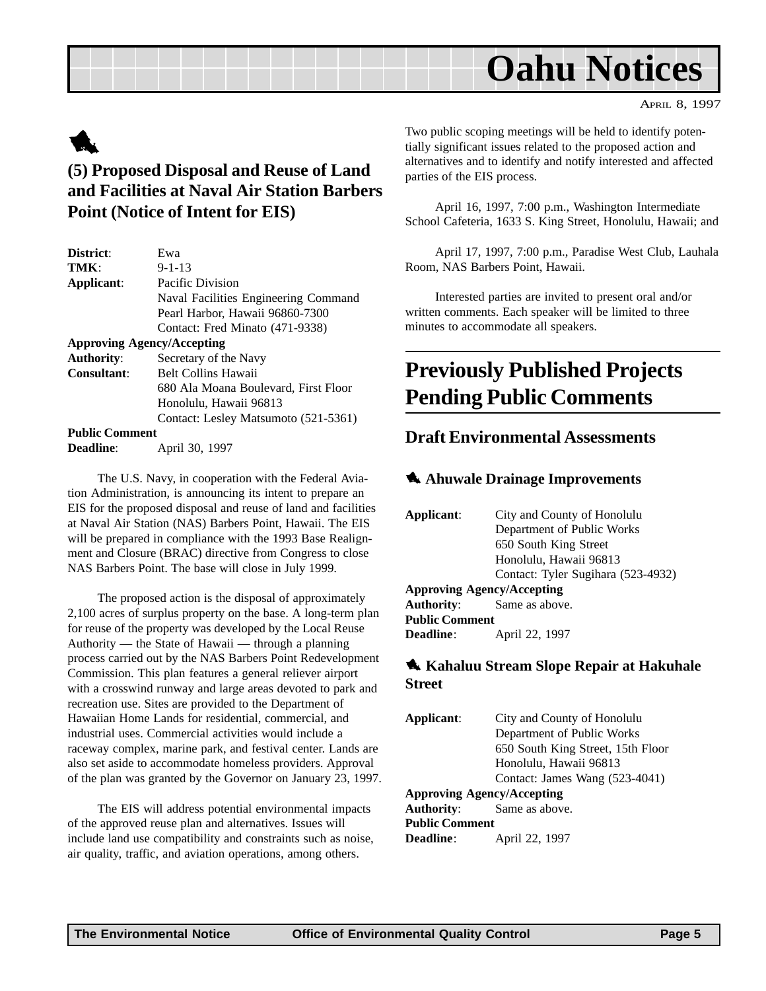#### APRIL 8, 1997

# <span id="page-4-0"></span>1

### **(5) Proposed Disposal and Reuse of Land and Facilities at Naval Air Station Barbers Point (Notice of Intent for EIS)**

| District:                         | Ewa                                  |  |
|-----------------------------------|--------------------------------------|--|
| TMK:                              | $9 - 1 - 13$                         |  |
| Applicant:                        | Pacific Division                     |  |
|                                   | Naval Facilities Engineering Command |  |
|                                   | Pearl Harbor, Hawaii 96860-7300      |  |
|                                   | Contact: Fred Minato (471-9338)      |  |
| <b>Approving Agency/Accepting</b> |                                      |  |
| <b>Authority:</b>                 | Secretary of the Navy                |  |
| Consultant:                       | <b>Belt Collins Hawaii</b>           |  |
|                                   | 680 Ala Moana Boulevard, First Floor |  |
|                                   | Honolulu, Hawaii 96813               |  |
|                                   | Contact: Lesley Matsumoto (521-5361) |  |
| <b>Public Comment</b>             |                                      |  |
| Deadline:                         | April 30, 1997                       |  |

The U.S. Navy, in cooperation with the Federal Aviation Administration, is announcing its intent to prepare an EIS for the proposed disposal and reuse of land and facilities at Naval Air Station (NAS) Barbers Point, Hawaii. The EIS will be prepared in compliance with the 1993 Base Realignment and Closure (BRAC) directive from Congress to close NAS Barbers Point. The base will close in July 1999.

The proposed action is the disposal of approximately 2,100 acres of surplus property on the base. A long-term plan for reuse of the property was developed by the Local Reuse Authority — the State of Hawaii — through a planning process carried out by the NAS Barbers Point Redevelopment Commission. This plan features a general reliever airport with a crosswind runway and large areas devoted to park and recreation use. Sites are provided to the Department of Hawaiian Home Lands for residential, commercial, and industrial uses. Commercial activities would include a raceway complex, marine park, and festival center. Lands are also set aside to accommodate homeless providers. Approval of the plan was granted by the Governor on January 23, 1997.

The EIS will address potential environmental impacts of the approved reuse plan and alternatives. Issues will include land use compatibility and constraints such as noise, air quality, traffic, and aviation operations, among others.

Two public scoping meetings will be held to identify potentially significant issues related to the proposed action and alternatives and to identify and notify interested and affected parties of the EIS process.

April 16, 1997, 7:00 p.m., Washington Intermediate School Cafeteria, 1633 S. King Street, Honolulu, Hawaii; and

April 17, 1997, 7:00 p.m., Paradise West Club, Lauhala Room, NAS Barbers Point, Hawaii.

Interested parties are invited to present oral and/or written comments. Each speaker will be limited to three minutes to accommodate all speakers.

## **Previously Published Projects Pending Public Comments**

#### **Draft Environmental Assessments**

#### 1 **Ahuwale Drainage Improvements**

| Applicant:                        | City and County of Honolulu        |  |  |
|-----------------------------------|------------------------------------|--|--|
|                                   | Department of Public Works         |  |  |
|                                   | 650 South King Street              |  |  |
|                                   | Honolulu, Hawaii 96813             |  |  |
|                                   | Contact: Tyler Sugihara (523-4932) |  |  |
| <b>Approving Agency/Accepting</b> |                                    |  |  |
|                                   | <b>Authority:</b> Same as above.   |  |  |
| <b>Public Comment</b>             |                                    |  |  |
| <b>Deadline:</b>                  | April 22, 1997                     |  |  |

#### **1. Kahaluu Stream Slope Repair at Hakuhale Street**

| Applicant:                        | City and County of Honolulu       |  |
|-----------------------------------|-----------------------------------|--|
|                                   | Department of Public Works        |  |
|                                   | 650 South King Street, 15th Floor |  |
|                                   | Honolulu, Hawaii 96813            |  |
|                                   | Contact: James Wang (523-4041)    |  |
| <b>Approving Agency/Accepting</b> |                                   |  |
| <b>Authority:</b>                 | Same as above.                    |  |
| <b>Public Comment</b>             |                                   |  |
| Deadline:                         | April 22, 1997                    |  |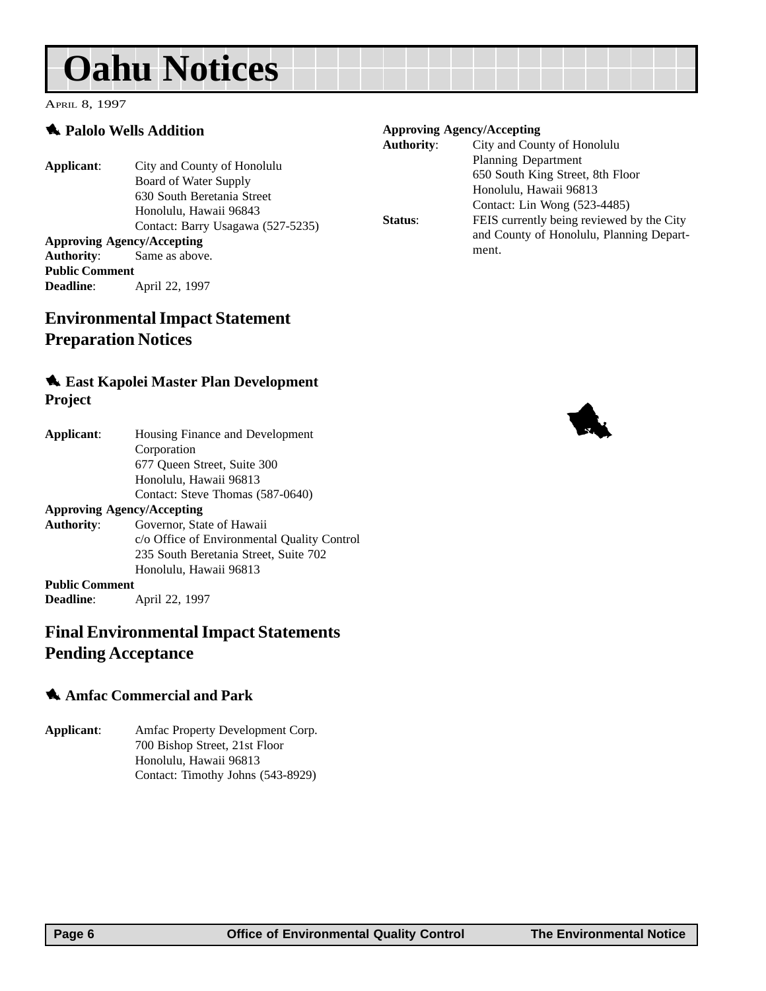<span id="page-5-0"></span>APRIL 8, 1997

#### 1 **Palolo Wells Addition**

#### **Applicant**: City and County of Honolulu Board of Water Supply 630 South Beretania Street Honolulu, Hawaii 96843 Contact: Barry Usagawa (527-5235) **Approving Agency/Accepting Authority**: Same as above.

**Public Comment Deadline**: April 22, 1997

### **Environmental Impact Statement Preparation Notices**

#### 1 **East Kapolei Master Plan Development Project**

| Applicant:                        | Housing Finance and Development             |  |
|-----------------------------------|---------------------------------------------|--|
|                                   | Corporation                                 |  |
|                                   | 677 Oueen Street, Suite 300                 |  |
|                                   | Honolulu, Hawaii 96813                      |  |
|                                   | Contact: Steve Thomas (587-0640)            |  |
| <b>Approving Agency/Accepting</b> |                                             |  |
| <b>Authority:</b>                 | Governor, State of Hawaii                   |  |
|                                   | c/o Office of Environmental Quality Control |  |
|                                   | 235 South Beretania Street, Suite 702       |  |
|                                   | Honolulu, Hawaii 96813                      |  |
| <b>Public Comment</b>             |                                             |  |
| <b>Deadline:</b>                  | April 22, 1997                              |  |

#### **Final Environmental Impact Statements Pending Acceptance**

#### 1 **Amfac Commercial and Park**

**Applicant**: Amfac Property Development Corp. 700 Bishop Street, 21st Floor Honolulu, Hawaii 96813 Contact: Timothy Johns (543-8929)

#### **Approving Agency/Accepting**

| <b>Authority:</b> | City and County of Honolulu               |
|-------------------|-------------------------------------------|
|                   | Planning Department                       |
|                   | 650 South King Street, 8th Floor          |
|                   | Honolulu, Hawaii 96813                    |
|                   | Contact: Lin Wong (523-4485)              |
| Status:           | FEIS currently being reviewed by the City |
|                   | and County of Honolulu, Planning Depart-  |
|                   | ment.                                     |
|                   |                                           |

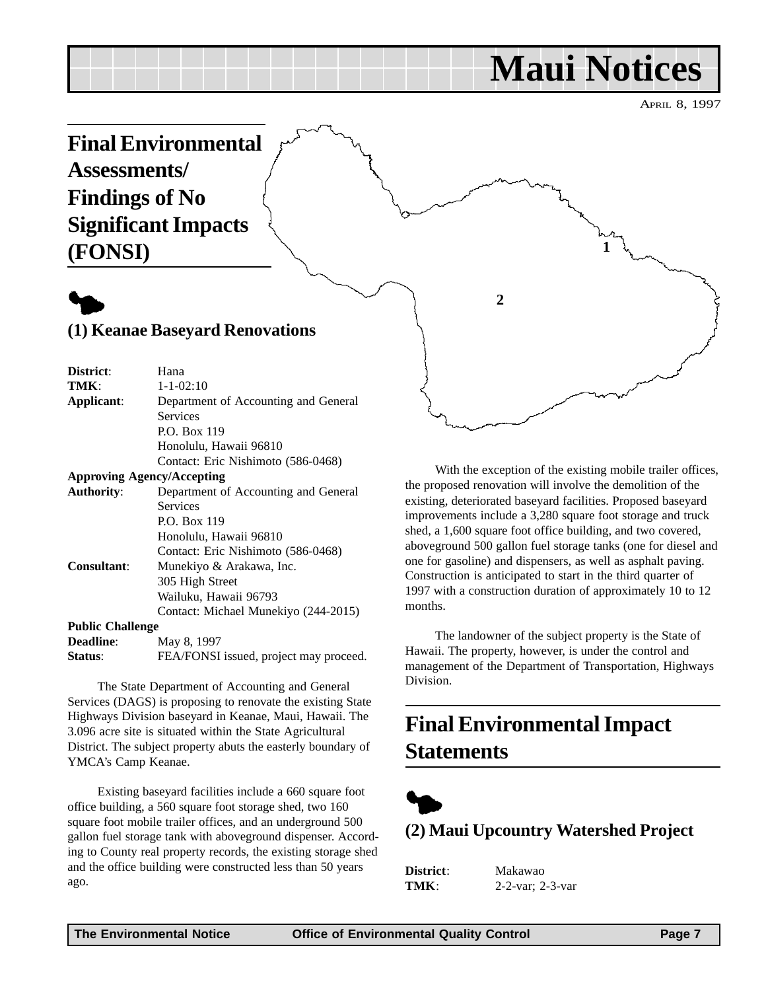# **Maui Notices**

APRIL 8, 1997

<span id="page-6-0"></span>

# $\blacklozenge$

| District:                         | Hana                                   |  |
|-----------------------------------|----------------------------------------|--|
| TMK:                              | $1 - 1 - 02:10$                        |  |
| Applicant:                        | Department of Accounting and General   |  |
|                                   | <b>Services</b>                        |  |
|                                   | P.O. Box 119                           |  |
|                                   | Honolulu, Hawaii 96810                 |  |
|                                   | Contact: Eric Nishimoto (586-0468)     |  |
| <b>Approving Agency/Accepting</b> |                                        |  |
| <b>Authority:</b>                 | Department of Accounting and General   |  |
|                                   | <b>Services</b>                        |  |
|                                   | P.O. Box 119                           |  |
|                                   | Honolulu, Hawaii 96810                 |  |
|                                   | Contact: Eric Nishimoto (586-0468)     |  |
| <b>Consultant:</b>                | Munekiyo & Arakawa, Inc.               |  |
|                                   | 305 High Street                        |  |
|                                   | Wailuku, Hawaii 96793                  |  |
|                                   | Contact: Michael Munekiyo (244-2015)   |  |
| <b>Public Challenge</b>           |                                        |  |
| <b>Deadline:</b>                  | May 8, 1997                            |  |
| Status:                           | FEA/FONSI issued, project may proceed. |  |
|                                   |                                        |  |

The State Department of Accounting and General Services (DAGS) is proposing to renovate the existing State Highways Division baseyard in Keanae, Maui, Hawaii. The 3.096 acre site is situated within the State Agricultural District. The subject property abuts the easterly boundary of YMCA's Camp Keanae.

Existing baseyard facilities include a 660 square foot office building, a 560 square foot storage shed, two 160 square foot mobile trailer offices, and an underground 500 gallon fuel storage tank with aboveground dispenser. According to County real property records, the existing storage shed and the office building were constructed less than 50 years ago.

With the exception of the existing mobile trailer offices, the proposed renovation will involve the demolition of the existing, deteriorated baseyard facilities. Proposed baseyard improvements include a 3,280 square foot storage and truck shed, a 1,600 square foot office building, and two covered, aboveground 500 gallon fuel storage tanks (one for diesel and one for gasoline) and dispensers, as well as asphalt paving. Construction is anticipated to start in the third quarter of 1997 with a construction duration of approximately 10 to 12 months.

The landowner of the subject property is the State of Hawaii. The property, however, is under the control and management of the Department of Transportation, Highways Division.

## **Final Environmental Impact Statements**



**(2) Maui Upcountry Watershed Project**

**District**: Makawao **TMK**: 2-2-var; 2-3-var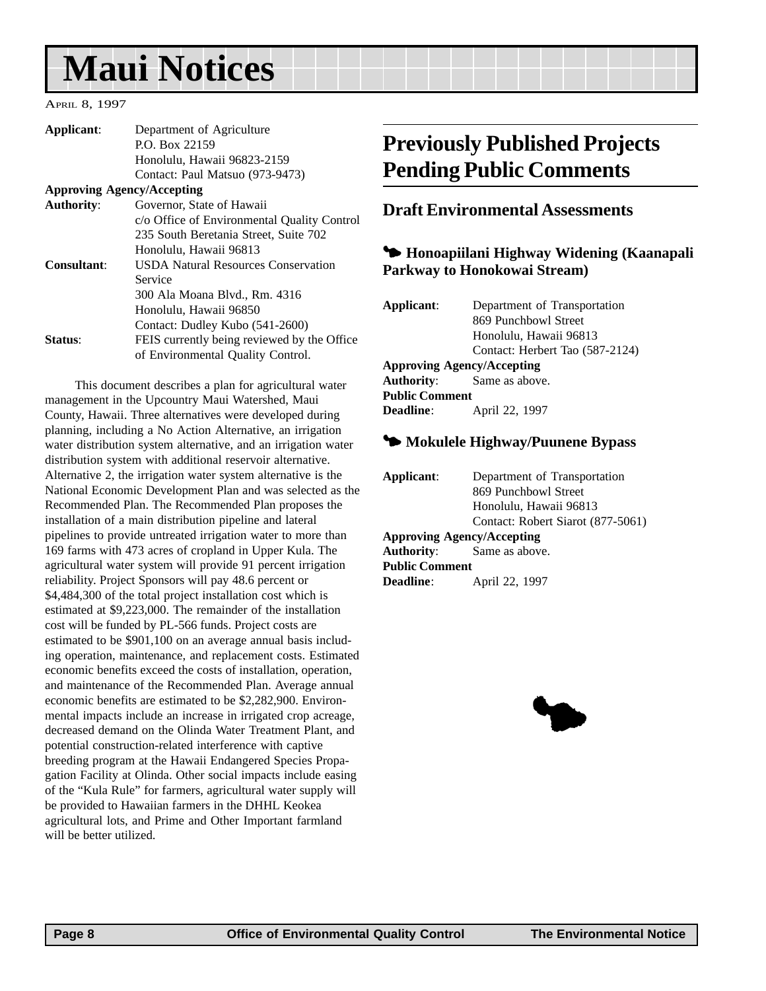# <span id="page-7-0"></span>**Maui Notices**

APRIL 8, 1997

| Applicant:        | Department of Agriculture                   |
|-------------------|---------------------------------------------|
|                   | P.O. Box 22159                              |
|                   | Honolulu, Hawaii 96823-2159                 |
|                   | Contact: Paul Matsuo (973-9473)             |
|                   | <b>Approving Agency/Accepting</b>           |
| <b>Authority:</b> | Governor, State of Hawaii                   |
|                   | c/o Office of Environmental Quality Control |
|                   | 235 South Beretania Street, Suite 702       |
|                   | Honolulu, Hawaii 96813                      |
| Consultant:       | <b>USDA Natural Resources Conservation</b>  |
|                   | Service                                     |
|                   | 300 Ala Moana Blvd., Rm. 4316               |
|                   | Honolulu, Hawaii 96850                      |
|                   | Contact: Dudley Kubo (541-2600)             |
| <b>Status:</b>    | FEIS currently being reviewed by the Office |
|                   | of Environmental Quality Control.           |
|                   |                                             |

This document describes a plan for agricultural water management in the Upcountry Maui Watershed, Maui County, Hawaii. Three alternatives were developed during planning, including a No Action Alternative, an irrigation water distribution system alternative, and an irrigation water distribution system with additional reservoir alternative. Alternative 2, the irrigation water system alternative is the National Economic Development Plan and was selected as the Recommended Plan. The Recommended Plan proposes the installation of a main distribution pipeline and lateral pipelines to provide untreated irrigation water to more than 169 farms with 473 acres of cropland in Upper Kula. The agricultural water system will provide 91 percent irrigation reliability. Project Sponsors will pay 48.6 percent or \$4,484,300 of the total project installation cost which is estimated at \$9,223,000. The remainder of the installation cost will be funded by PL-566 funds. Project costs are estimated to be \$901,100 on an average annual basis including operation, maintenance, and replacement costs. Estimated economic benefits exceed the costs of installation, operation, and maintenance of the Recommended Plan. Average annual economic benefits are estimated to be \$2,282,900. Environmental impacts include an increase in irrigated crop acreage, decreased demand on the Olinda Water Treatment Plant, and potential construction-related interference with captive breeding program at the Hawaii Endangered Species Propagation Facility at Olinda. Other social impacts include easing of the "Kula Rule" for farmers, agricultural water supply will be provided to Hawaiian farmers in the DHHL Keokea agricultural lots, and Prime and Other Important farmland will be better utilized.

## **Previously Published Projects Pending Public Comments**

#### **Draft Environmental Assessments**

#### 3 **Honoapiilani Highway Widening (Kaanapali Parkway to Honokowai Stream)**

| Applicant:                        | Department of Transportation     |  |
|-----------------------------------|----------------------------------|--|
|                                   | 869 Punchbowl Street             |  |
|                                   | Honolulu, Hawaii 96813           |  |
|                                   | Contact: Herbert Tao (587-2124)  |  |
| <b>Approving Agency/Accepting</b> |                                  |  |
|                                   | <b>Authority:</b> Same as above. |  |
| <b>Public Comment</b>             |                                  |  |
| <b>Deadline:</b>                  | April 22, 1997                   |  |
|                                   |                                  |  |

#### 3 **Mokulele Highway/Puunene Bypass**

| Applicant:            | Department of Transportation      |
|-----------------------|-----------------------------------|
|                       | 869 Punchbowl Street              |
|                       | Honolulu, Hawaii 96813            |
|                       | Contact: Robert Siarot (877-5061) |
|                       | <b>Approving Agency/Accepting</b> |
|                       | <b>Authority:</b> Same as above.  |
| <b>Public Comment</b> |                                   |
| <b>Deadline</b> :     | April 22, 1997                    |

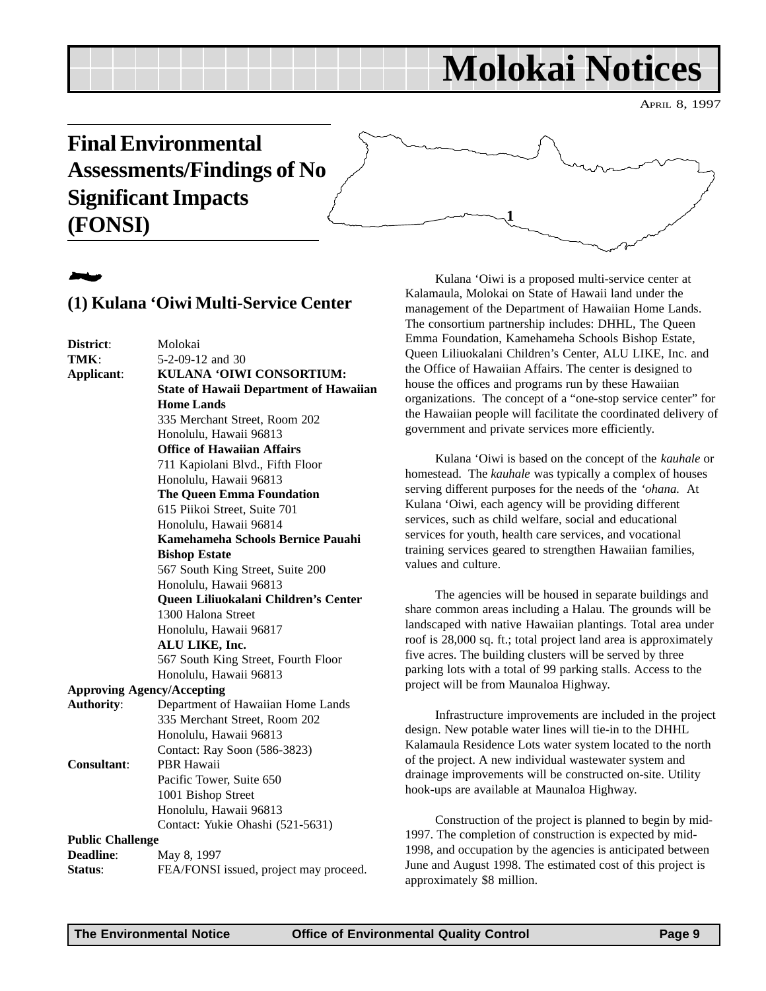# **Molokai Notices**

APRIL 8, 1997

## <span id="page-8-0"></span>**Final Environmental Assessments/Findings of No Significant Impacts (FONSI)**

# 2

#### **(1) Kulana 'Oiwi Multi-Service Center**

**District**: Molokai **TMK**: 5-2-09-12 and 30 **Applicant**: **KULANA 'OIWI CONSORTIUM: State of Hawaii Department of Hawaiian Home Lands** 335 Merchant Street, Room 202 Honolulu, Hawaii 96813 **Office of Hawaiian Affairs** 711 Kapiolani Blvd., Fifth Floor Honolulu, Hawaii 96813 **The Queen Emma Foundation** 615 Piikoi Street, Suite 701 Honolulu, Hawaii 96814 **Kamehameha Schools Bernice Pauahi Bishop Estate** 567 South King Street, Suite 200 Honolulu, Hawaii 96813 **Queen Liliuokalani Children's Center** 1300 Halona Street Honolulu, Hawaii 96817 **ALU LIKE, Inc.** 567 South King Street, Fourth Floor Honolulu, Hawaii 96813 **Approving Agency/Accepting Authority**: Department of Hawaiian Home Lands 335 Merchant Street, Room 202 Honolulu, Hawaii 96813 Contact: Ray Soon (586-3823) **Consultant**: PBR Hawaii Pacific Tower, Suite 650 1001 Bishop Street Honolulu, Hawaii 96813 Contact: Yukie Ohashi (521-5631) **Public Challenge Deadline:** May 8, 1997 **Status:** FEA/FONSI issued, project may proceed.

Kulana 'Oiwi is a proposed multi-service center at Kalamaula, Molokai on State of Hawaii land under the management of the Department of Hawaiian Home Lands. The consortium partnership includes: DHHL, The Queen Emma Foundation, Kamehameha Schools Bishop Estate, Queen Liliuokalani Children's Center, ALU LIKE, Inc. and the Office of Hawaiian Affairs. The center is designed to house the offices and programs run by these Hawaiian organizations. The concept of a "one-stop service center" for the Hawaiian people will facilitate the coordinated delivery of government and private services more efficiently.

**1**

Kulana 'Oiwi is based on the concept of the *kauhale* or homestead. The *kauhale* was typically a complex of houses serving different purposes for the needs of the *'ohana.* At Kulana 'Oiwi, each agency will be providing different services, such as child welfare, social and educational services for youth, health care services, and vocational training services geared to strengthen Hawaiian families, values and culture.

The agencies will be housed in separate buildings and share common areas including a Halau. The grounds will be landscaped with native Hawaiian plantings. Total area under roof is 28,000 sq. ft.; total project land area is approximately five acres. The building clusters will be served by three parking lots with a total of 99 parking stalls. Access to the project will be from Maunaloa Highway.

Infrastructure improvements are included in the project design. New potable water lines will tie-in to the DHHL Kalamaula Residence Lots water system located to the north of the project. A new individual wastewater system and drainage improvements will be constructed on-site. Utility hook-ups are available at Maunaloa Highway.

Construction of the project is planned to begin by mid-1997. The completion of construction is expected by mid-1998, and occupation by the agencies is anticipated between June and August 1998. The estimated cost of this project is approximately \$8 million.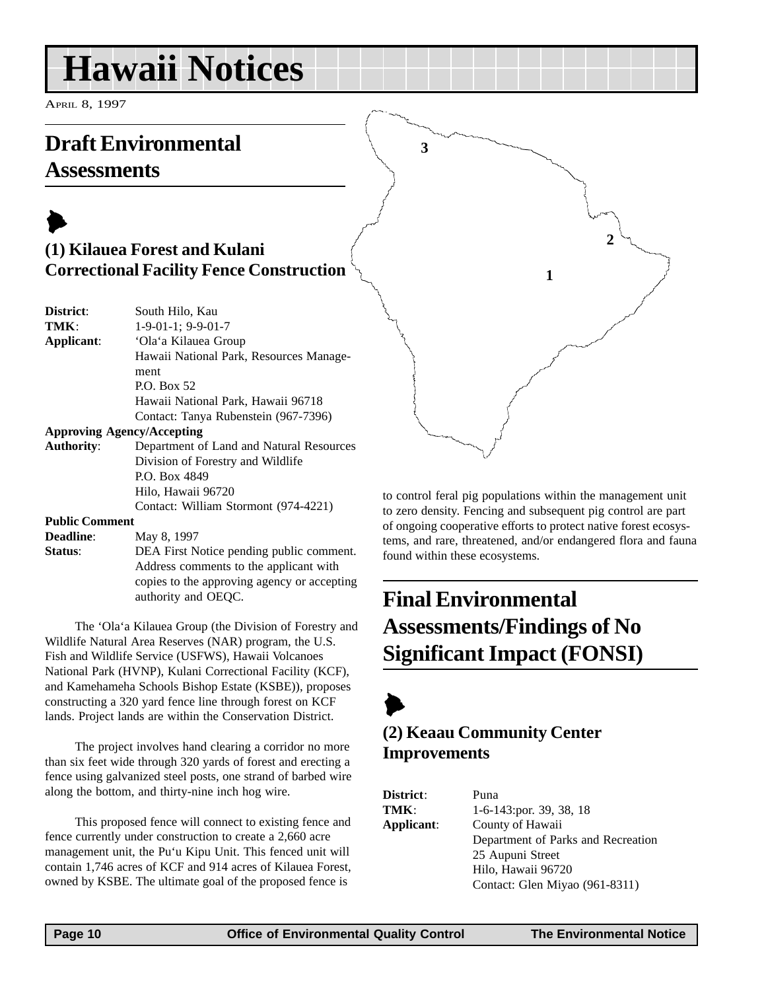# <span id="page-9-0"></span>**Hawaii Notices**

APRIL 8, 1997

## **Draft Environmental Assessments**

## $\blacktriangleright$ **(1) Kilauea Forest and Kulani Correctional Facility Fence Construction**

| <b>District:</b> | South Hilo, Kau                         |
|------------------|-----------------------------------------|
| TMK:             | $1-9-01-1$ ; 9-9-01-7                   |
| Applicant:       | 'Ola'a Kilauea Group                    |
|                  | Hawaii National Park, Resources Manage- |
|                  | ment                                    |
|                  | P.O. Box 52                             |
|                  | Hawaii National Park, Hawaii 96718      |
|                  | Contact: Tanya Rubenstein (967-7396)    |
|                  | <b>Approving Agency/Accepting</b>       |
| Authority:       | Department of Land and Natural Resource |

**Authority**: Department of Land and Natural Resources Division of Forestry and Wildlife P.O. Box 4849 Hilo, Hawaii 96720 Contact: William Stormont (974-4221)

#### **Public Comment**

**Deadline**: May 8, 1997 **Status**: DEA First Notice pending public comment. Address comments to the applicant with copies to the approving agency or accepting authority and OEQC.

The 'Ola'a Kilauea Group (the Division of Forestry and Wildlife Natural Area Reserves (NAR) program, the U.S. Fish and Wildlife Service (USFWS), Hawaii Volcanoes National Park (HVNP), Kulani Correctional Facility (KCF), and Kamehameha Schools Bishop Estate (KSBE)), proposes constructing a 320 yard fence line through forest on KCF lands. Project lands are within the Conservation District.

The project involves hand clearing a corridor no more than six feet wide through 320 yards of forest and erecting a fence using galvanized steel posts, one strand of barbed wire along the bottom, and thirty-nine inch hog wire.

This proposed fence will connect to existing fence and fence currently under construction to create a 2,660 acre management unit, the Pu'u Kipu Unit. This fenced unit will contain 1,746 acres of KCF and 914 acres of Kilauea Forest, owned by KSBE. The ultimate goal of the proposed fence is

to control feral pig populations within the management unit to zero density. Fencing and subsequent pig control are part of ongoing cooperative efforts to protect native forest ecosystems, and rare, threatened, and/or endangered flora and fauna found within these ecosystems.

**1**

**2**

## **Final Environmental Assessments/Findings of No Significant Impact (FONSI)**



**3**

### **(2) Keaau Community Center Improvements**

| <b>District:</b> | Puna                               |  |  |
|------------------|------------------------------------|--|--|
| TMK:             | $1-6-143$ ; por. 39, 38, 18        |  |  |
| Applicant:       | County of Hawaii                   |  |  |
|                  | Department of Parks and Recreation |  |  |
|                  | 25 Aupuni Street                   |  |  |
|                  | Hilo, Hawaii 96720                 |  |  |
|                  | Contact: Glen Miyao (961-8311)     |  |  |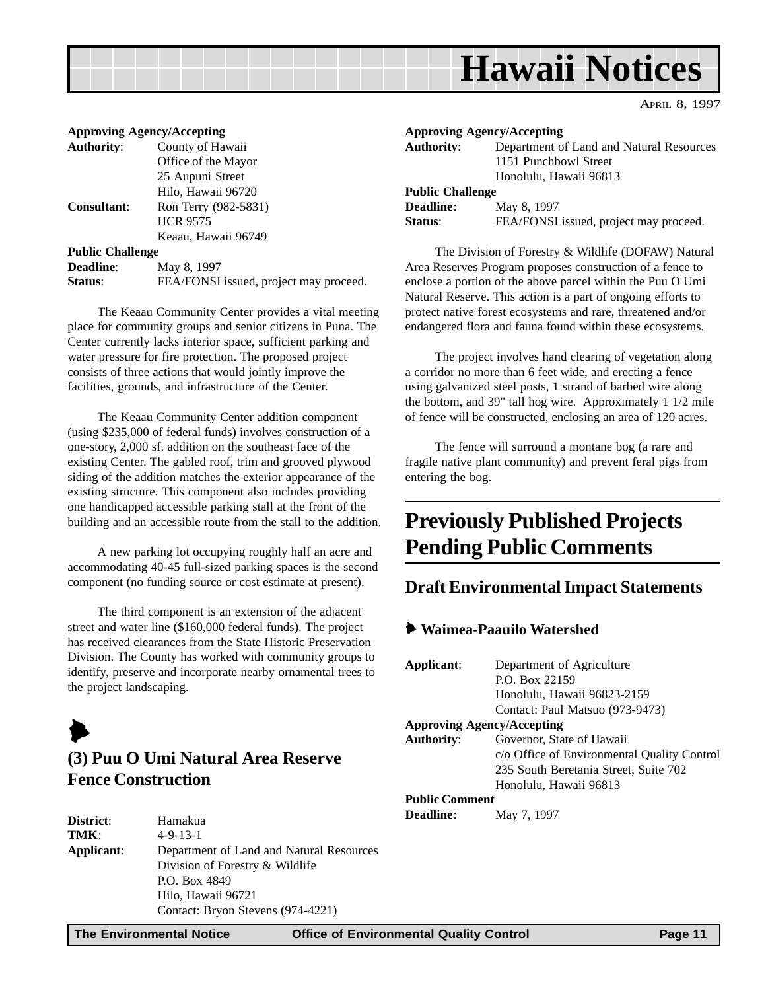# **Hawaii Notices**

APRIL 8, 1997

<span id="page-10-0"></span>

| <b>Approving Agency/Accepting</b>      |
|----------------------------------------|
| County of Hawaii                       |
| Office of the Mayor                    |
| 25 Aupuni Street                       |
| Hilo, Hawaii 96720                     |
| Ron Terry (982-5831)                   |
| <b>HCR 9575</b>                        |
| Keaau, Hawaii 96749                    |
| <b>Public Challenge</b>                |
| May 8, 1997                            |
| FEA/FONSI issued, project may proceed. |
|                                        |

The Keaau Community Center provides a vital meeting place for community groups and senior citizens in Puna. The Center currently lacks interior space, sufficient parking and water pressure for fire protection. The proposed project consists of three actions that would jointly improve the facilities, grounds, and infrastructure of the Center.

The Keaau Community Center addition component (using \$235,000 of federal funds) involves construction of a one-story, 2,000 sf. addition on the southeast face of the existing Center. The gabled roof, trim and grooved plywood siding of the addition matches the exterior appearance of the existing structure. This component also includes providing one handicapped accessible parking stall at the front of the building and an accessible route from the stall to the addition.

A new parking lot occupying roughly half an acre and accommodating 40-45 full-sized parking spaces is the second component (no funding source or cost estimate at present).

The third component is an extension of the adjacent street and water line (\$160,000 federal funds). The project has received clearances from the State Historic Preservation Division. The County has worked with community groups to identify, preserve and incorporate nearby ornamental trees to the project landscaping.



### **(3) Puu O Umi Natural Area Reserve Fence Construction**

| District:  | Hamakua                                  |
|------------|------------------------------------------|
| TMK:       | $4 - 9 - 13 - 1$                         |
| Applicant: | Department of Land and Natural Resources |
|            | Division of Forestry & Wildlife          |
|            | P.O. Box 4849                            |
|            | Hilo, Hawaii 96721                       |
|            | Contact: Bryon Stevens (974-4221)        |

|                         | <b>Approving Agency/Accepting</b>        |  |  |
|-------------------------|------------------------------------------|--|--|
| <b>Authority:</b>       | Department of Land and Natural Resources |  |  |
|                         | 1151 Punchbowl Street                    |  |  |
|                         | Honolulu, Hawaii 96813                   |  |  |
| <b>Public Challenge</b> |                                          |  |  |
| Deadline:               | May 8, 1997                              |  |  |
| Status:                 | FEA/FONSI issued, project may proceed.   |  |  |
|                         |                                          |  |  |

The Division of Forestry & Wildlife (DOFAW) Natural Area Reserves Program proposes construction of a fence to enclose a portion of the above parcel within the Puu O Umi Natural Reserve. This action is a part of ongoing efforts to protect native forest ecosystems and rare, threatened and/or endangered flora and fauna found within these ecosystems.

The project involves hand clearing of vegetation along a corridor no more than 6 feet wide, and erecting a fence using galvanized steel posts, 1 strand of barbed wire along the bottom, and 39" tall hog wire. Approximately 1 1/2 mile of fence will be constructed, enclosing an area of 120 acres.

The fence will surround a montane bog (a rare and fragile native plant community) and prevent feral pigs from entering the bog.

## **Previously Published Projects Pending Public Comments**

#### **Draft Environmental Impact Statements**

#### 6 **Waimea-Paauilo Watershed**

| Applicant:                        | Department of Agriculture                   |  |  |
|-----------------------------------|---------------------------------------------|--|--|
|                                   | P.O. Box 22159                              |  |  |
|                                   | Honolulu, Hawaii 96823-2159                 |  |  |
|                                   | Contact: Paul Matsuo (973-9473)             |  |  |
| <b>Approving Agency/Accepting</b> |                                             |  |  |
| <b>Authority:</b>                 | Governor, State of Hawaii                   |  |  |
|                                   | c/o Office of Environmental Quality Control |  |  |
|                                   | 235 South Beretania Street, Suite 702       |  |  |
|                                   | Honolulu, Hawaii 96813                      |  |  |
| <b>Public Comment</b>             |                                             |  |  |
| <b>Deadline:</b>                  | May 7, 1997                                 |  |  |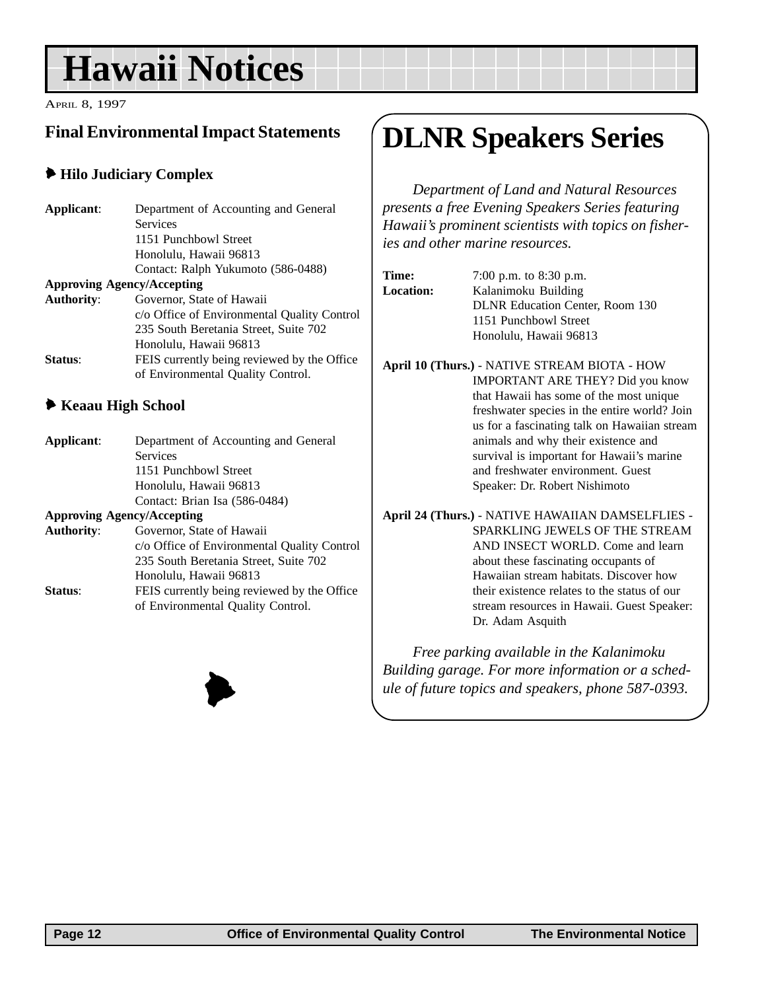# <span id="page-11-0"></span>**Hawaii Notices**

APRIL 8, 1997

### **Final Environmental Impact Statements**

#### 6 **Hilo Judiciary Complex**

| Applicant:                        | Department of Accounting and General                              |  |  |
|-----------------------------------|-------------------------------------------------------------------|--|--|
|                                   | <b>Services</b>                                                   |  |  |
|                                   | 1151 Punchbowl Street                                             |  |  |
|                                   | Honolulu, Hawaii 96813                                            |  |  |
|                                   | Contact: Ralph Yukumoto (586-0488)                                |  |  |
| <b>Approving Agency/Accepting</b> |                                                                   |  |  |
| <b>Authority:</b>                 | Governor, State of Hawaii                                         |  |  |
|                                   | c/o Office of Environmental Quality Control                       |  |  |
|                                   | 235 South Beretania Street, Suite 702                             |  |  |
|                                   | Honolulu, Hawaii 96813                                            |  |  |
| Status:                           | FEIS currently being reviewed by the Office                       |  |  |
|                                   | of Environmental Quality Control.                                 |  |  |
| ◆ Keaau High School               |                                                                   |  |  |
|                                   |                                                                   |  |  |
| Applicant:                        | Department of Accounting and General                              |  |  |
| Services                          |                                                                   |  |  |
|                                   | 1151 Punchbowl Street                                             |  |  |
|                                   | Honolulu, Hawaii 96813                                            |  |  |
|                                   | $C_{\text{cutoff}}$ D <sub>river</sub> L <sub>22</sub> (EQC 0404) |  |  |

#### Contact: Brian Isa (586-0484) **Approving Agency/Accepting Authority**: Governor, State of Hawaii c/o Office of Environmental Quality Control 235 South Beretania Street, Suite 702 Honolulu, Hawaii 96813 **Status:** FEIS currently being reviewed by the Office of Environmental Quality Control.



# **DLNR Speakers Series**

*Department of Land and Natural Resources presents a free Evening Speakers Series featuring Hawaii's prominent scientists with topics on fisheries and other marine resources.*

| <b>Time:</b>     | 7:00 p.m. to 8:30 p.m.                 |  |
|------------------|----------------------------------------|--|
| <b>Location:</b> | Kalanimoku Building                    |  |
|                  | <b>DLNR Education Center, Room 130</b> |  |
|                  | 1151 Punchbowl Street                  |  |
|                  | Honolulu, Hawaii 96813                 |  |
|                  |                                        |  |

**April 10 (Thurs.)** - NATIVE STREAM BIOTA - HOW IMPORTANT ARE THEY? Did you know that Hawaii has some of the most unique freshwater species in the entire world? Join us for a fascinating talk on Hawaiian stream animals and why their existence and survival is important for Hawaii's marine and freshwater environment. Guest Speaker: Dr. Robert Nishimoto

**April 24 (Thurs.)** - NATIVE HAWAIIAN DAMSELFLIES - SPARKLING JEWELS OF THE STREAM AND INSECT WORLD. Come and learn about these fascinating occupants of Hawaiian stream habitats. Discover how their existence relates to the status of our stream resources in Hawaii. Guest Speaker: Dr. Adam Asquith

*Free parking available in the Kalanimoku Building garage. For more information or a schedule of future topics and speakers, phone 587-0393.*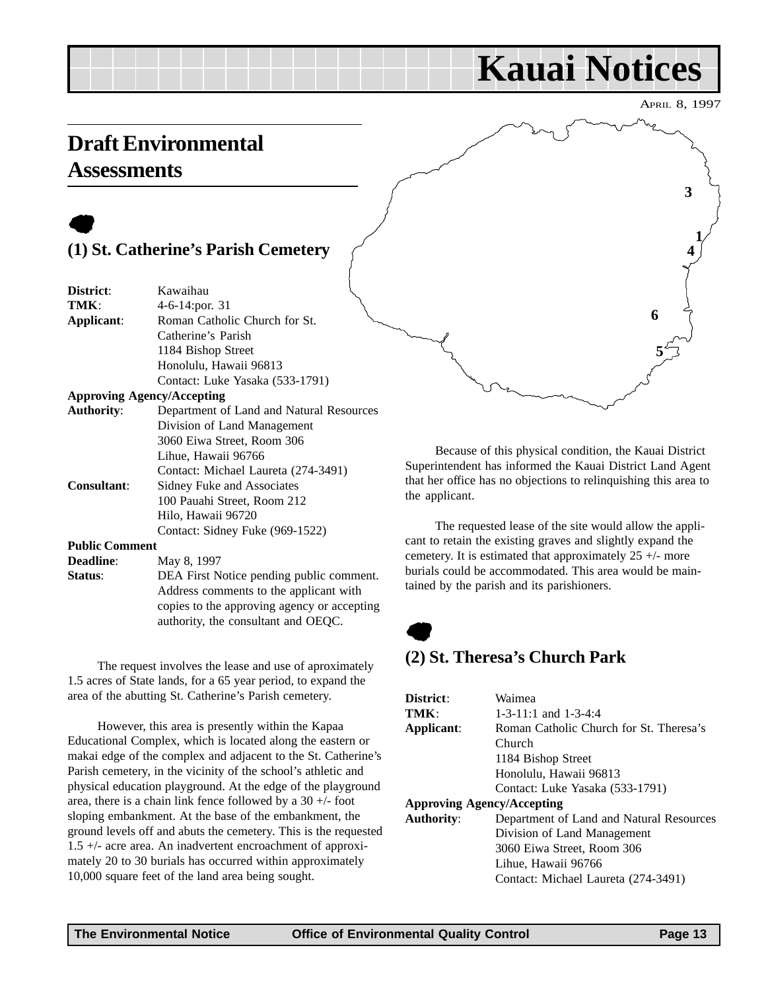# **Kauai Notices**

APRIL 8, 1997

**3**

**4 1**

**5**

**6**

## <span id="page-12-0"></span>**Draft Environmental Assessments**

# $\bullet$

### **(1) St. Catherine's Parish Cemetery**

| District:             | Kawaihau                                    |  |
|-----------------------|---------------------------------------------|--|
| TMK:                  | 4-6-14:por. 31                              |  |
| Applicant:            | Roman Catholic Church for St.               |  |
|                       | Catherine's Parish                          |  |
|                       | 1184 Bishop Street                          |  |
|                       | Honolulu, Hawaii 96813                      |  |
|                       | Contact: Luke Yasaka (533-1791)             |  |
|                       | <b>Approving Agency/Accepting</b>           |  |
| <b>Authority:</b>     | Department of Land and Natural Resources    |  |
|                       | Division of Land Management                 |  |
|                       | 3060 Eiwa Street, Room 306                  |  |
|                       | Lihue, Hawaii 96766                         |  |
|                       | Contact: Michael Laureta (274-3491)         |  |
| <b>Consultant:</b>    | Sidney Fuke and Associates                  |  |
|                       | 100 Pauahi Street, Room 212                 |  |
|                       | Hilo, Hawaii 96720                          |  |
|                       | Contact: Sidney Fuke (969-1522)             |  |
| <b>Public Comment</b> |                                             |  |
| <b>Deadline:</b>      | May 8, 1997                                 |  |
| Status:               | DEA First Notice pending public comment.    |  |
|                       | Address comments to the applicant with      |  |
|                       | copies to the approving agency or accepting |  |

The request involves the lease and use of aproximately 1.5 acres of State lands, for a 65 year period, to expand the area of the abutting St. Catherine's Parish cemetery.

authority, the consultant and OEQC.

However, this area is presently within the Kapaa Educational Complex, which is located along the eastern or makai edge of the complex and adjacent to the St. Catherine's Parish cemetery, in the vicinity of the school's athletic and physical education playground. At the edge of the playground area, there is a chain link fence followed by a 30 +/- foot sloping embankment. At the base of the embankment, the ground levels off and abuts the cemetery. This is the requested 1.5 +/- acre area. An inadvertent encroachment of approximately 20 to 30 burials has occurred within approximately 10,000 square feet of the land area being sought.

Because of this physical condition, the Kauai District Superintendent has informed the Kauai District Land Agent that her office has no objections to relinquishing this area to the applicant.

The requested lease of the site would allow the applicant to retain the existing graves and slightly expand the cemetery. It is estimated that approximately 25 +/- more burials could be accommodated. This area would be maintained by the parish and its parishioners.

# $\bullet$

#### **(2) St. Theresa's Church Park**

| District:                         | Waimea                                   |  |  |  |
|-----------------------------------|------------------------------------------|--|--|--|
| TMK:                              | $1-3-11:1$ and $1-3-4:4$                 |  |  |  |
| Applicant:                        | Roman Catholic Church for St. Theresa's  |  |  |  |
|                                   | Church                                   |  |  |  |
|                                   | 1184 Bishop Street                       |  |  |  |
|                                   | Honolulu, Hawaii 96813                   |  |  |  |
|                                   | Contact: Luke Yasaka (533-1791)          |  |  |  |
| <b>Approving Agency/Accepting</b> |                                          |  |  |  |
| <b>Authority:</b>                 | Department of Land and Natural Resources |  |  |  |
|                                   | Division of Land Management              |  |  |  |
|                                   | 3060 Eiwa Street, Room 306               |  |  |  |
|                                   | Lihue, Hawaii 96766                      |  |  |  |
|                                   | Contact: Michael Laureta (274-3491)      |  |  |  |
|                                   |                                          |  |  |  |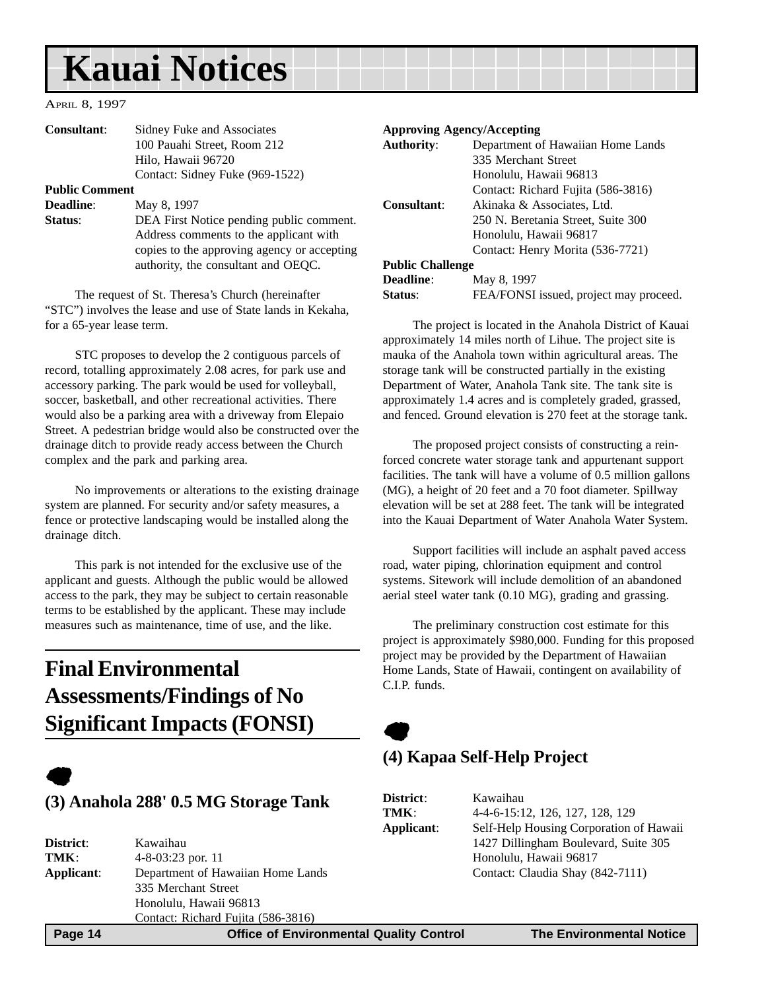# <span id="page-13-0"></span>**Kauai Notices**

#### APRIL 8, 1997

| <b>Consultant:</b>    | Sidney Fuke and Associates                  | <b>Approving Agency/Accepting</b> |                      |
|-----------------------|---------------------------------------------|-----------------------------------|----------------------|
|                       | 100 Pauahi Street, Room 212                 | <b>Authority:</b>                 | Department of Hawa   |
|                       | Hilo, Hawaii 96720                          |                                   | 335 Merchant Street  |
|                       | Contact: Sidney Fuke (969-1522)             |                                   | Honolulu, Hawaii 96  |
| <b>Public Comment</b> |                                             |                                   | Contact: Richard Fu  |
| <b>Deadline:</b>      | May 8, 1997                                 | <b>Consultant:</b>                | Akinaka & Associat   |
| Status:               | DEA First Notice pending public comment.    |                                   | 250 N. Beretania Sti |
|                       | Address comments to the applicant with      |                                   | Honolulu, Hawaii 96  |
|                       | copies to the approving agency or accepting |                                   | Contact: Henry Mor   |
|                       | authority, the consultant and OEQC.         | <b>Public Challenge</b>           |                      |

The request of St. Theresa's Church (hereinafter "STC") involves the lease and use of State lands in Kekaha, for a 65-year lease term.

STC proposes to develop the 2 contiguous parcels of record, totalling approximately 2.08 acres, for park use and accessory parking. The park would be used for volleyball, soccer, basketball, and other recreational activities. There would also be a parking area with a driveway from Elepaio Street. A pedestrian bridge would also be constructed over the drainage ditch to provide ready access between the Church complex and the park and parking area.

No improvements or alterations to the existing drainage system are planned. For security and/or safety measures, a fence or protective landscaping would be installed along the drainage ditch.

This park is not intended for the exclusive use of the applicant and guests. Although the public would be allowed access to the park, they may be subject to certain reasonable terms to be established by the applicant. These may include measures such as maintenance, time of use, and the like.

## **Final Environmental Assessments/Findings of No Significant Impacts (FONSI)**

# $\bullet$

#### **(3) Anahola 288' 0.5 MG Storage Tank**

| District:                                       | Kawaihau                           |  |  |
|-------------------------------------------------|------------------------------------|--|--|
| TMK:                                            | $4 - 8 - 03:23$ por. 11            |  |  |
| Department of Hawaiian Home Lands<br>Applicant: |                                    |  |  |
|                                                 | 335 Merchant Street                |  |  |
|                                                 | Honolulu, Hawaii 96813             |  |  |
|                                                 | Contact: Richard Fujita (586-3816) |  |  |
|                                                 |                                    |  |  |

| <b>Authority:</b>       | Department of Hawaiian Home Lands      |  |
|-------------------------|----------------------------------------|--|
|                         | 335 Merchant Street                    |  |
|                         | Honolulu, Hawaii 96813                 |  |
|                         | Contact: Richard Fujita (586-3816)     |  |
| Consultant:             | Akinaka & Associates, Ltd.             |  |
|                         | 250 N. Beretania Street, Suite 300     |  |
|                         | Honolulu, Hawaii 96817                 |  |
|                         | Contact: Henry Morita (536-7721)       |  |
| <b>Public Challenge</b> |                                        |  |
| <b>Deadline:</b>        | May 8, 1997                            |  |
| <b>Status:</b>          | FEA/FONSI issued, project may proceed. |  |

The project is located in the Anahola District of Kauai approximately 14 miles north of Lihue. The project site is mauka of the Anahola town within agricultural areas. The storage tank will be constructed partially in the existing Department of Water, Anahola Tank site. The tank site is approximately 1.4 acres and is completely graded, grassed, and fenced. Ground elevation is 270 feet at the storage tank.

The proposed project consists of constructing a reinforced concrete water storage tank and appurtenant support facilities. The tank will have a volume of 0.5 million gallons (MG), a height of 20 feet and a 70 foot diameter. Spillway elevation will be set at 288 feet. The tank will be integrated into the Kauai Department of Water Anahola Water System.

Support facilities will include an asphalt paved access road, water piping, chlorination equipment and control systems. Sitework will include demolition of an abandoned aerial steel water tank (0.10 MG), grading and grassing.

The preliminary construction cost estimate for this project is approximately \$980,000. Funding for this proposed project may be provided by the Department of Hawaiian Home Lands, State of Hawaii, contingent on availability of C.I.P. funds.

### **(4) Kapaa Self-Help Project**

 $\bullet$ 

| District:  | Kawaihau                                |
|------------|-----------------------------------------|
| TMK:       | 4-4-6-15:12, 126, 127, 128, 129         |
| Applicant: | Self-Help Housing Corporation of Hawaii |
|            | 1427 Dillingham Boulevard, Suite 305    |
|            | Honolulu, Hawaii 96817                  |
|            | Contact: Claudia Shay (842-7111)        |

 **Page 14 Control Control Control Control Page 14 Control Control Control Page 14 The Environmental Notice**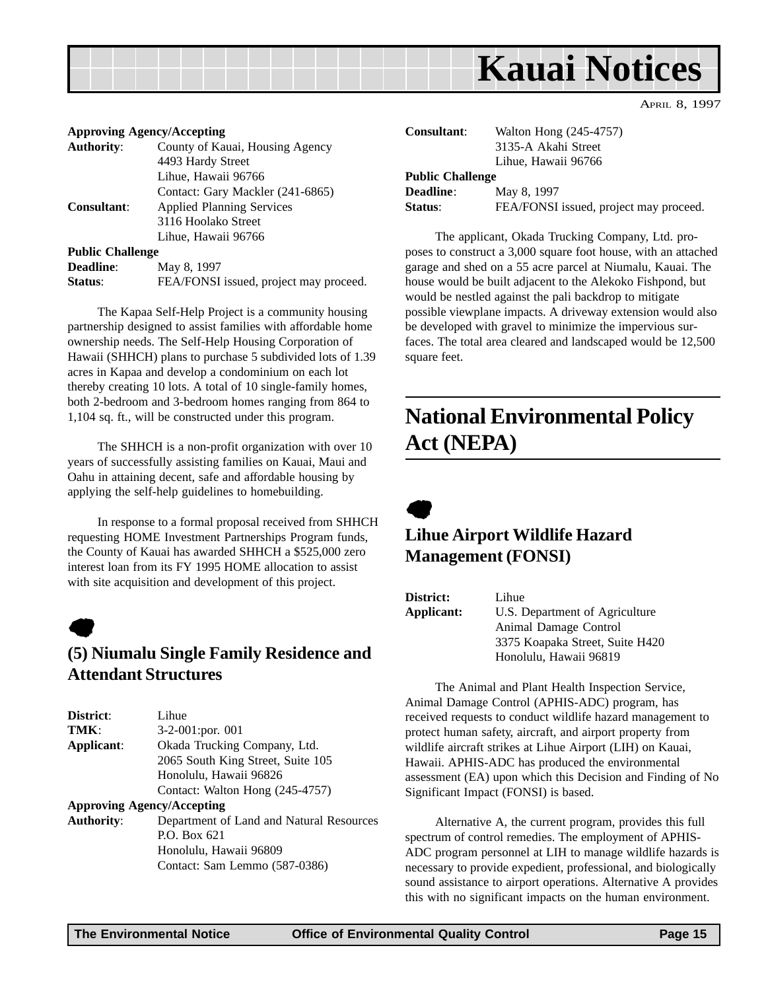<span id="page-14-0"></span>

#### **Approving Agency/Accepting**

| <b>Authority:</b>       | County of Kauai, Housing Agency        |
|-------------------------|----------------------------------------|
|                         | 4493 Hardy Street                      |
|                         | Lihue, Hawaii 96766                    |
|                         | Contact: Gary Mackler (241-6865)       |
| <b>Consultant:</b>      | <b>Applied Planning Services</b>       |
|                         | 3116 Hoolako Street                    |
|                         | Lihue, Hawaii 96766                    |
| <b>Public Challenge</b> |                                        |
| <b>Deadline:</b>        | May 8, 1997                            |
| Status:                 | FEA/FONSI issued, project may proceed. |
|                         |                                        |

The Kapaa Self-Help Project is a community housing partnership designed to assist families with affordable home ownership needs. The Self-Help Housing Corporation of Hawaii (SHHCH) plans to purchase 5 subdivided lots of 1.39 acres in Kapaa and develop a condominium on each lot thereby creating 10 lots. A total of 10 single-family homes, both 2-bedroom and 3-bedroom homes ranging from 864 to 1,104 sq. ft., will be constructed under this program.

The SHHCH is a non-profit organization with over 10 years of successfully assisting families on Kauai, Maui and Oahu in attaining decent, safe and affordable housing by applying the self-help guidelines to homebuilding.

In response to a formal proposal received from SHHCH requesting HOME Investment Partnerships Program funds, the County of Kauai has awarded SHHCH a \$525,000 zero interest loan from its FY 1995 HOME allocation to assist with site acquisition and development of this project.

# $\bullet$

#### **(5) Niumalu Single Family Residence and Attendant Structures**

| District:         | Lihue                                    |
|-------------------|------------------------------------------|
| TMK:              | $3-2-001$ : por. 001                     |
| Applicant:        | Okada Trucking Company, Ltd.             |
|                   | 2065 South King Street, Suite 105        |
|                   | Honolulu, Hawaii 96826                   |
|                   | Contact: Walton Hong (245-4757)          |
|                   | <b>Approving Agency/Accepting</b>        |
| <b>Authority:</b> | Department of Land and Natural Resources |
|                   | P.O. Box 621                             |
|                   | Honolulu, Hawaii 96809                   |
|                   | Contact: Sam Lemmo (587-0386)            |

| <b>Consultant:</b>      | Walton Hong (245-4757)<br>3135-A Akahi Street |  |  |  |
|-------------------------|-----------------------------------------------|--|--|--|
|                         | Lihue, Hawaii 96766                           |  |  |  |
| <b>Public Challenge</b> |                                               |  |  |  |
| <b>Deadline:</b>        | May 8, 1997                                   |  |  |  |
| Status:                 | FEA/FONSI issued, project may proceed.        |  |  |  |

APRIL 8, 1997

The applicant, Okada Trucking Company, Ltd. proposes to construct a 3,000 square foot house, with an attached garage and shed on a 55 acre parcel at Niumalu, Kauai. The house would be built adjacent to the Alekoko Fishpond, but would be nestled against the pali backdrop to mitigate possible viewplane impacts. A driveway extension would also be developed with gravel to minimize the impervious surfaces. The total area cleared and landscaped would be 12,500 square feet.

## **National Environmental Policy Act (NEPA)**



### **Lihue Airport Wildlife Hazard Management (FONSI)**

| District:  | Lihue                           |
|------------|---------------------------------|
| Applicant: | U.S. Department of Agriculture  |
|            | Animal Damage Control           |
|            | 3375 Koapaka Street, Suite H420 |
|            | Honolulu, Hawaii 96819          |

The Animal and Plant Health Inspection Service, Animal Damage Control (APHIS-ADC) program, has received requests to conduct wildlife hazard management to protect human safety, aircraft, and airport property from wildlife aircraft strikes at Lihue Airport (LIH) on Kauai, Hawaii. APHIS-ADC has produced the environmental assessment (EA) upon which this Decision and Finding of No Significant Impact (FONSI) is based.

Alternative A, the current program, provides this full spectrum of control remedies. The employment of APHIS-ADC program personnel at LIH to manage wildlife hazards is necessary to provide expedient, professional, and biologically sound assistance to airport operations. Alternative A provides this with no significant impacts on the human environment.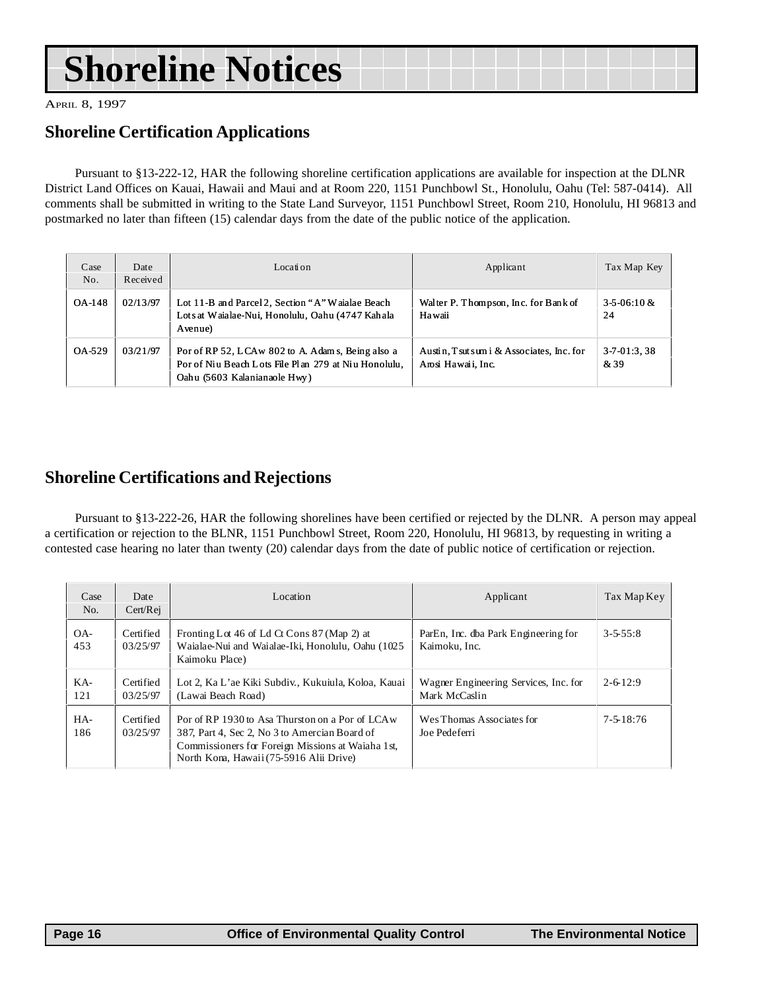# **Shoreline Notices**

APRIL 8, 1997

### **Shoreline Certification Applications**

Pursuant to §13-222-12, HAR the following shoreline certification applications are available for inspection at the DLNR District Land Offices on Kauai, Hawaii and Maui and at Room 220, 1151 Punchbowl St., Honolulu, Oahu (Tel: 587-0414). All comments shall be submitted in writing to the State Land Surveyor, 1151 Punchbowl Street, Room 210, Honolulu, HI 96813 and postmarked no later than fifteen (15) calendar days from the date of the public notice of the application.

| Case<br>No. | Date<br>Received | Location                                                                                                                                  | Applicant                                                        | Tax Map Key               |
|-------------|------------------|-------------------------------------------------------------------------------------------------------------------------------------------|------------------------------------------------------------------|---------------------------|
| OA-148      | 02/13/97         | Lot 11-B and Parcel 2, Section "A" Waialae Beach<br>Lots at Waialae-Nui, Honolulu, Oahu (4747 Kahala<br>Avenue)                           | Walter P. Thompson, Inc. for Bank of<br>Hawaii                   | $3 - 5 - 06:10 \&$<br>24  |
| OA-529      | 03/21/97         | Por of RP 52, LCAw 802 to A. Adam s, Being also a<br>Por of Niu Beach Lots File Plan 279 at Niu Honolulu.<br>Oahu (5603 Kalanianaole Hwy) | Austin, T sut sum i & Associates, Inc. for<br>Arosi Hawaii, Inc. | $3 - 7 - 01:3,38$<br>& 39 |

### **Shoreline Certifications and Rejections**

Pursuant to §13-222-26, HAR the following shorelines have been certified or rejected by the DLNR. A person may appeal a certification or rejection to the BLNR, 1151 Punchbowl Street, Room 220, Honolulu, HI 96813, by requesting in writing a contested case hearing no later than twenty (20) calendar days from the date of public notice of certification or rejection.

| Case<br>No. | Date<br>Cert/Rej      | Location                                                                                                                                                                                          | Applicant                                              | Tax Map Key      |
|-------------|-----------------------|---------------------------------------------------------------------------------------------------------------------------------------------------------------------------------------------------|--------------------------------------------------------|------------------|
| OA-<br>453  | Certified<br>03/25/97 | Fronting Lot 46 of Ld Ct Cons 87 (Map 2) at<br>Waialae-Nui and Waialae-Iki, Honolulu, Oahu (1025)<br>Kaimoku Place)                                                                               | ParEn, Inc. dba Park Engineering for<br>Kaimoku, Inc.  | $3 - 5 - 55 : 8$ |
| KA-<br>121  | Certified<br>03/25/97 | Lot 2, Ka L'ae Kiki Subdiv., Kukuiula, Koloa, Kauai<br>(Lawai Beach Road)                                                                                                                         | Wagner Engineering Services, Inc. for<br>Mark McCaslin | $2 - 6 - 12:9$   |
| HA-<br>186  | Certified<br>03/25/97 | Por of RP 1930 to Asa Thurston on a Por of LCA w<br>387, Part 4, Sec 2, No 3 to Amercian Board of<br>Commissioners for Foreign Missions at Waiaha 1st,<br>North Kona, Hawaii (75-5916 Alii Drive) | Wes Thomas Associates for<br>Joe Pedeferri             | $7 - 5 - 18:76$  |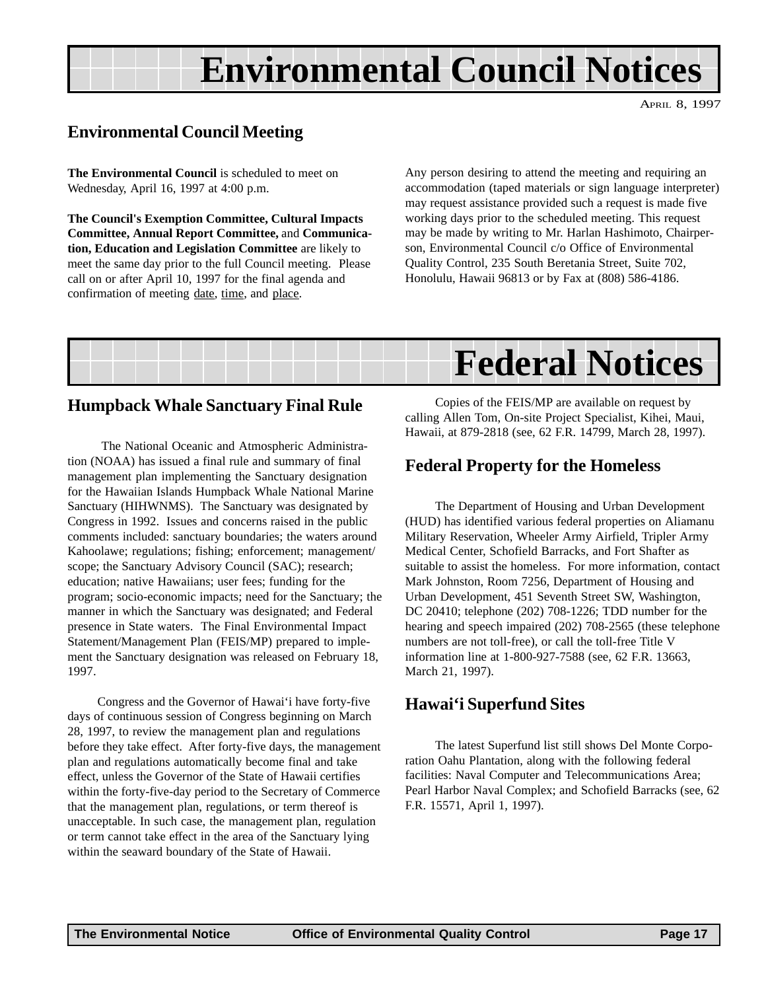# **Environmental Council Notices**

APRIL 8, 1997

#### <span id="page-16-0"></span>**Environmental Council Meeting**

**The Environmental Council** is scheduled to meet on Wednesday, April 16, 1997 at 4:00 p.m.

**The Council's Exemption Committee, Cultural Impacts Committee, Annual Report Committee,** and **Communication, Education and Legislation Committee** are likely to meet the same day prior to the full Council meeting. Please call on or after April 10, 1997 for the final agenda and confirmation of meeting date, time, and place.

Any person desiring to attend the meeting and requiring an accommodation (taped materials or sign language interpreter) may request assistance provided such a request is made five working days prior to the scheduled meeting. This request may be made by writing to Mr. Harlan Hashimoto, Chairperson, Environmental Council c/o Office of Environmental Quality Control, 235 South Beretania Street, Suite 702, Honolulu, Hawaii 96813 or by Fax at (808) 586-4186.



#### **Humpback Whale Sanctuary Final Rule**

 The National Oceanic and Atmospheric Administration (NOAA) has issued a final rule and summary of final management plan implementing the Sanctuary designation for the Hawaiian Islands Humpback Whale National Marine Sanctuary (HIHWNMS). The Sanctuary was designated by Congress in 1992. Issues and concerns raised in the public comments included: sanctuary boundaries; the waters around Kahoolawe; regulations; fishing; enforcement; management/ scope; the Sanctuary Advisory Council (SAC); research; education; native Hawaiians; user fees; funding for the program; socio-economic impacts; need for the Sanctuary; the manner in which the Sanctuary was designated; and Federal presence in State waters. The Final Environmental Impact Statement/Management Plan (FEIS/MP) prepared to implement the Sanctuary designation was released on February 18, 1997.

Congress and the Governor of Hawai'i have forty-five days of continuous session of Congress beginning on March 28, 1997, to review the management plan and regulations before they take effect. After forty-five days, the management plan and regulations automatically become final and take effect, unless the Governor of the State of Hawaii certifies within the forty-five-day period to the Secretary of Commerce that the management plan, regulations, or term thereof is unacceptable. In such case, the management plan, regulation or term cannot take effect in the area of the Sanctuary lying within the seaward boundary of the State of Hawaii.

Copies of the FEIS/MP are available on request by calling Allen Tom, On-site Project Specialist, Kihei, Maui, Hawaii, at 879-2818 (see, 62 F.R. 14799, March 28, 1997).

#### **Federal Property for the Homeless**

The Department of Housing and Urban Development (HUD) has identified various federal properties on Aliamanu Military Reservation, Wheeler Army Airfield, Tripler Army Medical Center, Schofield Barracks, and Fort Shafter as suitable to assist the homeless. For more information, contact Mark Johnston, Room 7256, Department of Housing and Urban Development, 451 Seventh Street SW, Washington, DC 20410; telephone (202) 708-1226; TDD number for the hearing and speech impaired (202) 708-2565 (these telephone numbers are not toll-free), or call the toll-free Title V information line at 1-800-927-7588 (see, 62 F.R. 13663, March 21, 1997).

#### **Hawai'i Superfund Sites**

The latest Superfund list still shows Del Monte Corporation Oahu Plantation, along with the following federal facilities: Naval Computer and Telecommunications Area; Pearl Harbor Naval Complex; and Schofield Barracks (see, 62 F.R. 15571, April 1, 1997).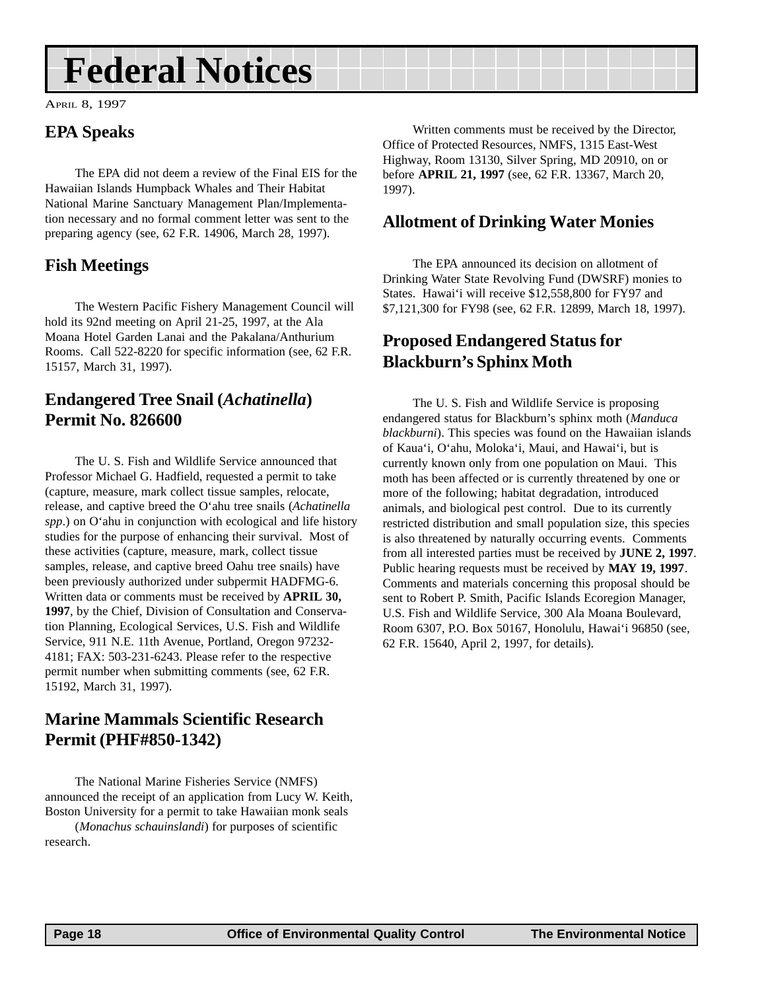# <span id="page-17-0"></span>**Federal Notices**

APRIL 8, 1997

### **EPA Speaks**

The EPA did not deem a review of the Final EIS for the Hawaiian Islands Humpback Whales and Their Habitat National Marine Sanctuary Management Plan/Implementation necessary and no formal comment letter was sent to the preparing agency (see, 62 F.R. 14906, March 28, 1997).

### **Fish Meetings**

The Western Pacific Fishery Management Council will hold its 92nd meeting on April 21-25, 1997, at the Ala Moana Hotel Garden Lanai and the Pakalana/Anthurium Rooms. Call 522-8220 for specific information (see, 62 F.R. 15157, March 31, 1997).

#### **Endangered Tree Snail (***Achatinella***) Permit No. 826600**

The U. S. Fish and Wildlife Service announced that Professor Michael G. Hadfield, requested a permit to take (capture, measure, mark collect tissue samples, relocate, release, and captive breed the O'ahu tree snails (*Achatinella spp*.) on O'ahu in conjunction with ecological and life history studies for the purpose of enhancing their survival. Most of these activities (capture, measure, mark, collect tissue samples, release, and captive breed Oahu tree snails) have been previously authorized under subpermit HADFMG-6. Written data or comments must be received by **APRIL 30, 1997**, by the Chief, Division of Consultation and Conservation Planning, Ecological Services, U.S. Fish and Wildlife Service, 911 N.E. 11th Avenue, Portland, Oregon 97232- 4181; FAX: 503-231-6243. Please refer to the respective permit number when submitting comments (see, 62 F.R. 15192, March 31, 1997).

### **Marine Mammals Scientific Research Permit (PHF#850-1342)**

The National Marine Fisheries Service (NMFS) announced the receipt of an application from Lucy W. Keith, Boston University for a permit to take Hawaiian monk seals (*Monachus schauinslandi*) for purposes of scientific research.

Written comments must be received by the Director, Office of Protected Resources, NMFS, 1315 East-West Highway, Room 13130, Silver Spring, MD 20910, on or before **APRIL 21, 1997** (see, 62 F.R. 13367, March 20, 1997).

#### **Allotment of Drinking Water Monies**

The EPA announced its decision on allotment of Drinking Water State Revolving Fund (DWSRF) monies to States. Hawai'i will receive \$12,558,800 for FY97 and \$7,121,300 for FY98 (see, 62 F.R. 12899, March 18, 1997).

### **Proposed Endangered Status for Blackburn's Sphinx Moth**

The U. S. Fish and Wildlife Service is proposing endangered status for Blackburn's sphinx moth (*Manduca blackburni*). This species was found on the Hawaiian islands of Kaua'i, O'ahu, Moloka'i, Maui, and Hawai'i, but is currently known only from one population on Maui. This moth has been affected or is currently threatened by one or more of the following; habitat degradation, introduced animals, and biological pest control. Due to its currently restricted distribution and small population size, this species is also threatened by naturally occurring events. Comments from all interested parties must be received by **JUNE 2, 1997**. Public hearing requests must be received by **MAY 19, 1997**. Comments and materials concerning this proposal should be sent to Robert P. Smith, Pacific Islands Ecoregion Manager, U.S. Fish and Wildlife Service, 300 Ala Moana Boulevard, Room 6307, P.O. Box 50167, Honolulu, Hawai'i 96850 (see, 62 F.R. 15640, April 2, 1997, for details).